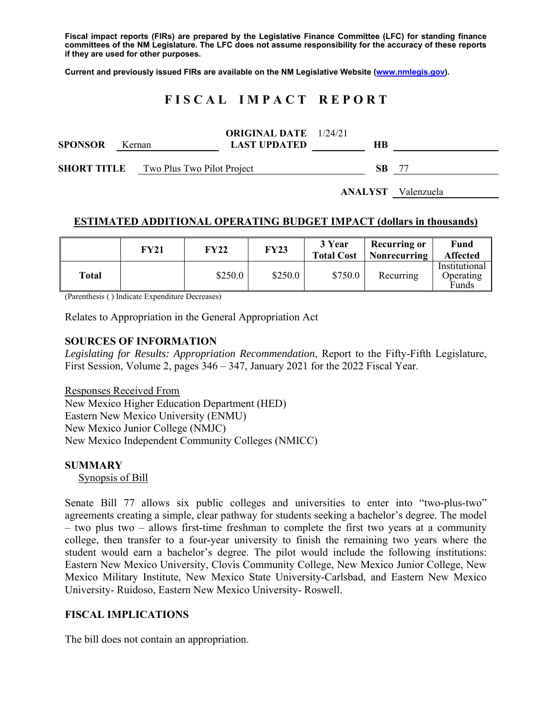**Fiscal impact reports (FIRs) are prepared by the Legislative Finance Committee (LFC) for standing finance committees of the NM Legislature. The LFC does not assume responsibility for the accuracy of these reports if they are used for other purposes.** 

**Current and previously issued FIRs are available on the NM Legislative Website (www.nmlegis.gov).** 

# **F I S C A L I M P A C T R E P O R T**

| <b>SPONSOR</b>     | Kernan |                            | <b>ORIGINAL DATE</b> 1/24/21<br><b>LAST UPDATED</b> | HВ        |     |
|--------------------|--------|----------------------------|-----------------------------------------------------|-----------|-----|
| <b>SHORT TITLE</b> |        | Two Plus Two Pilot Project |                                                     | <b>SB</b> | -77 |

#### **ANALYST** Valenzuela

#### **ESTIMATED ADDITIONAL OPERATING BUDGET IMPACT (dollars in thousands)**

|       | FY21 | <b>FY22</b> | <b>FY23</b> | 3 Year<br><b>Total Cost</b> | <b>Recurring or</b><br>Nonrecurring | Fund<br><b>Affected</b>             |
|-------|------|-------------|-------------|-----------------------------|-------------------------------------|-------------------------------------|
| Total |      | \$250.0     | \$250.0     | \$750.0                     | Recurring                           | Institutional<br>Operating<br>Funds |

(Parenthesis ( ) Indicate Expenditure Decreases)

Relates to Appropriation in the General Appropriation Act

#### **SOURCES OF INFORMATION**

*Legislating for Results: Appropriation Recommendation*, Report to the Fifty-Fifth Legislature, First Session, Volume 2, pages 346 – 347, January 2021 for the 2022 Fiscal Year.

Responses Received From New Mexico Higher Education Department (HED) Eastern New Mexico University (ENMU) New Mexico Junior College (NMJC) New Mexico Independent Community Colleges (NMICC)

#### **SUMMARY**

Synopsis of Bill

Senate Bill 77 allows six public colleges and universities to enter into "two-plus-two" agreements creating a simple, clear pathway for students seeking a bachelor's degree. The model – two plus two – allows first-time freshman to complete the first two years at a community college, then transfer to a four-year university to finish the remaining two years where the student would earn a bachelor's degree. The pilot would include the following institutions: Eastern New Mexico University, Clovis Community College, New Mexico Junior College, New Mexico Military Institute, New Mexico State University-Carlsbad, and Eastern New Mexico University- Ruidoso, Eastern New Mexico University- Roswell.

### **FISCAL IMPLICATIONS**

The bill does not contain an appropriation.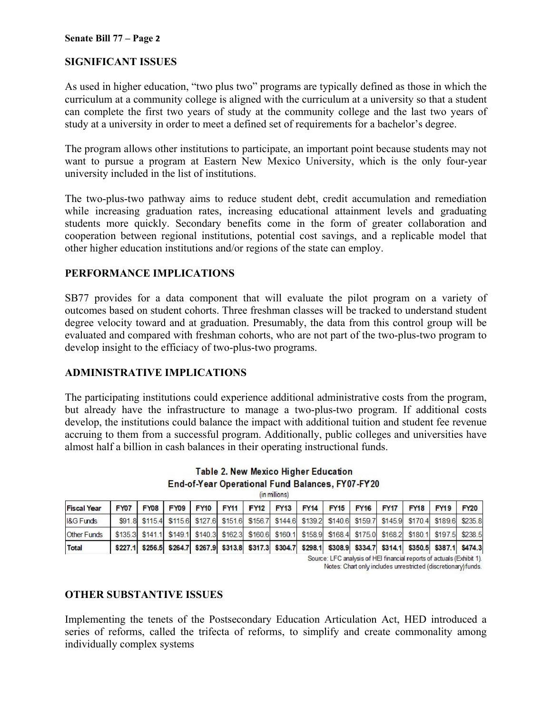# **SIGNIFICANT ISSUES**

As used in higher education, "two plus two" programs are typically defined as those in which the curriculum at a community college is aligned with the curriculum at a university so that a student can complete the first two years of study at the community college and the last two years of study at a university in order to meet a defined set of requirements for a bachelor's degree.

The program allows other institutions to participate, an important point because students may not want to pursue a program at Eastern New Mexico University, which is the only four-year university included in the list of institutions.

The two-plus-two pathway aims to reduce student debt, credit accumulation and remediation while increasing graduation rates, increasing educational attainment levels and graduating students more quickly. Secondary benefits come in the form of greater collaboration and cooperation between regional institutions, potential cost savings, and a replicable model that other higher education institutions and/or regions of the state can employ.

# **PERFORMANCE IMPLICATIONS**

SB77 provides for a data component that will evaluate the pilot program on a variety of outcomes based on student cohorts. Three freshman classes will be tracked to understand student degree velocity toward and at graduation. Presumably, the data from this control group will be evaluated and compared with freshman cohorts, who are not part of the two-plus-two program to develop insight to the efficiacy of two-plus-two programs.

### **ADMINISTRATIVE IMPLICATIONS**

The participating institutions could experience additional administrative costs from the program, but already have the infrastructure to manage a two-plus-two program. If additional costs develop, the institutions could balance the impact with additional tuition and student fee revenue accruing to them from a successful program. Additionally, public colleges and universities have almost half a billion in cash balances in their operating instructional funds.

| un millions)         |             |  |  |                                                                                                                 |  |  |  |  |  |                     |             |             |             |
|----------------------|-------------|--|--|-----------------------------------------------------------------------------------------------------------------|--|--|--|--|--|---------------------|-------------|-------------|-------------|
| <b>Fiscal Year</b>   | <b>FY07</b> |  |  | FY08   FY09   FY10   FY11   FY12   FY13                                                                         |  |  |  |  |  | FY14 FY15 FY16 FY17 | <b>FY18</b> | <b>FY19</b> | <b>FY20</b> |
| <b>I&amp;G Funds</b> |             |  |  | \$91.8 \$115.4 \$115.6 \$127.6 \$151.6 \$156.7 \$144.6 \$139.2 \$140.6 \$159.7 \$145.9 \$170.4 \$189.6 \$235.8  |  |  |  |  |  |                     |             |             |             |
| <b>Other Funds</b>   |             |  |  | \$135.3 \$141.1 \$149.1 \$140.3 \$162.3 \$160.6 \$160.1 \$158.9 \$168.4 \$175.0 \$168.2 \$180.1 \$197.5 \$238.5 |  |  |  |  |  |                     |             |             |             |
| <b>Total</b>         |             |  |  | \$227.1 \$256.5 \$264.7 \$267.9 \$313.8 \$317.3 \$304.7 \$298.1 \$308.9 \$334.7 \$314.1 \$350.5 \$387.1 \$474.3 |  |  |  |  |  |                     |             |             |             |

Table 2. New Mexico Higher Education End-of-Year Operational Fund Balances, FY07-FY20

Source: LFC analysis of HEI financial reports of actuals (Exhibit 1).

Notes: Chart only includes unrestricted (discretionary) funds.

### **OTHER SUBSTANTIVE ISSUES**

Implementing the tenets of the Postsecondary Education Articulation Act, HED introduced a series of reforms, called the trifecta of reforms, to simplify and create commonality among individually complex systems